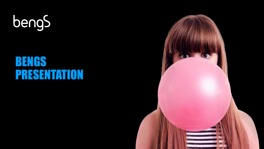

## BENGS PRESENTATION

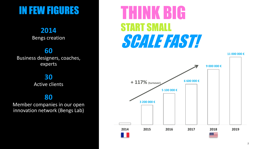## IN FEW FIGURES

### **2014**

Bengs creation

### **60**

Business designers, coaches, experts

### **30**

Active clients

### **80**

Member companies in our open innovation network (Bengs Lab)

# THINK BIG START SMALL SCALE FAST!

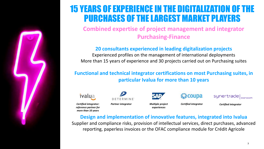

### 15 YEARS OF EXPERIENCE IN THE DIGITALIZATION OF THE PURCHASES OF THE LARGEST MARKET PLAYERS

**Combined expertise of project management and integrator Purchasing-Finance**

#### **20 consultants experienced in leading digitalization projects**

Experienced profiles on the management of international deployments More than 15 years of experience and 30 projects carried out on Purchasing suites

### **Functional and technical integrator certifications on most Purchasing suites, in particular Ivalua for more than 10 years**



*Certified integrator: reference partner for more than 10 years*



*Multiple project Certified integrator*

*experiences*

**髪 coupa** 

synertrade|  $\vert$  econocom

*Partner integrator Certified integrator*

#### **Design and implementation of innovative features, integrated into Ivalua**

Supplier and compliance risks, provision of intellectual services, direct purchases, advanced reporting, paperless invoices or the OFAC compliance module for Crédit Agricole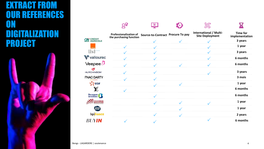### EXTRACT FROM OUR REFERENCES ON DIGITALIZATION PROJECT



|                    |                                                   | 無                                 |                                                         |                                   |
|--------------------|---------------------------------------------------|-----------------------------------|---------------------------------------------------------|-----------------------------------|
|                    | Professionalization of<br>the purchasing function | Source-to-Contract Procure To pay | <b>International / Multi-</b><br><b>Site Deployment</b> | <b>Time for</b><br>implementation |
| <b>CA</b> CRÉDIT   |                                                   |                                   |                                                         | 3 years                           |
|                    |                                                   |                                   |                                                         | 1 year                            |
| lisi               |                                                   |                                   |                                                         | 3 years                           |
| vallourec          |                                                   |                                   |                                                         | 6 months                          |
| Veepee $D$         |                                                   |                                   |                                                         | 6 months                          |
| <b>HUTCHINSON®</b> |                                                   |                                   |                                                         | 3 years                           |
| <b>FNAC DARTY</b>  |                                                   |                                   |                                                         | 3 mois                            |
| どこepr              |                                                   |                                   |                                                         | 1 year                            |
| X/                 |                                                   |                                   |                                                         | 6 months                          |
| <b>Bouygues</b>    |                                                   |                                   |                                                         | 6 months                          |
| CHASSIS<br>BRAKES  |                                                   |                                   |                                                         | 1 year                            |
|                    |                                                   |                                   |                                                         | 1 year                            |
| bpifrance          |                                                   |                                   |                                                         | 2 years                           |
|                    |                                                   |                                   |                                                         | 6 months                          |